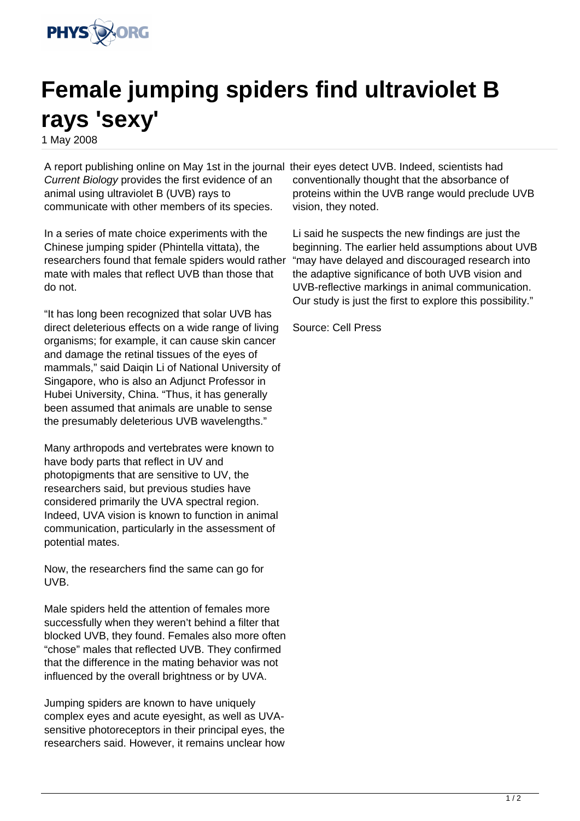

## **Female jumping spiders find ultraviolet B rays 'sexy'**

1 May 2008

A report publishing online on May 1st in the journal their eyes detect UVB. Indeed, scientists had Current Biology provides the first evidence of an animal using ultraviolet B (UVB) rays to communicate with other members of its species.

In a series of mate choice experiments with the Chinese jumping spider (Phintella vittata), the researchers found that female spiders would rather mate with males that reflect UVB than those that do not.

"It has long been recognized that solar UVB has direct deleterious effects on a wide range of living organisms; for example, it can cause skin cancer and damage the retinal tissues of the eyes of mammals," said Daiqin Li of National University of Singapore, who is also an Adjunct Professor in Hubei University, China. "Thus, it has generally been assumed that animals are unable to sense the presumably deleterious UVB wavelengths."

Many arthropods and vertebrates were known to have body parts that reflect in UV and photopigments that are sensitive to UV, the researchers said, but previous studies have considered primarily the UVA spectral region. Indeed, UVA vision is known to function in animal communication, particularly in the assessment of potential mates.

Now, the researchers find the same can go for UVB.

Male spiders held the attention of females more successfully when they weren't behind a filter that blocked UVB, they found. Females also more often "chose" males that reflected UVB. They confirmed that the difference in the mating behavior was not influenced by the overall brightness or by UVA.

Jumping spiders are known to have uniquely complex eyes and acute eyesight, as well as UVAsensitive photoreceptors in their principal eyes, the researchers said. However, it remains unclear how

conventionally thought that the absorbance of proteins within the UVB range would preclude UVB vision, they noted.

Li said he suspects the new findings are just the beginning. The earlier held assumptions about UVB "may have delayed and discouraged research into the adaptive significance of both UVB vision and UVB-reflective markings in animal communication. Our study is just the first to explore this possibility."

Source: Cell Press